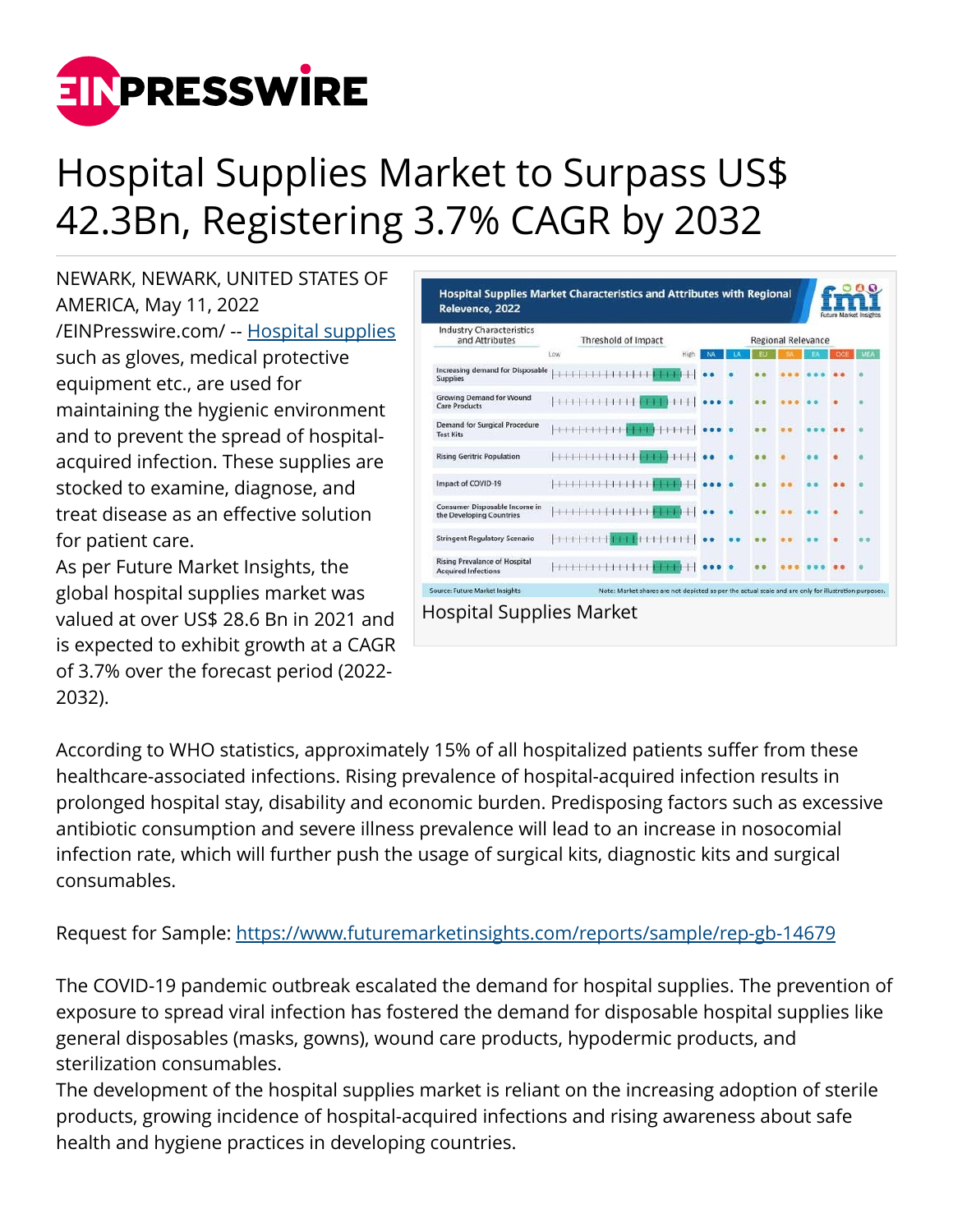

## Hospital Supplies Market to Surpass US\$ 42.3Bn, Registering 3.7% CAGR by 2032

NEWARK, NEWARK, UNITED STATES OF AMERICA, May 11, 2022 [/EINPresswire.com/](http://www.einpresswire.com) -- [Hospital supplies](https://www.futuremarketinsights.com/reports/hospital-supplies-market) such as gloves, medical protective equipment etc., are used for maintaining the hygienic environment and to prevent the spread of hospitalacquired infection. These supplies are stocked to examine, diagnose, and treat disease as an effective solution for patient care.

As per Future Market Insights, the global hospital supplies market was valued at over US\$ 28.6 Bn in 2021 and is expected to exhibit growth at a CAGR of 3.7% over the forecast period (2022- 2032).

| <b>Industry Characteristics</b><br>and Attributes                  | Threshold of Impact   |                                                                       |  | <b>Regional Relevance</b> |  |  |    |     |     |
|--------------------------------------------------------------------|-----------------------|-----------------------------------------------------------------------|--|---------------------------|--|--|----|-----|-----|
|                                                                    | Low                   | Higi                                                                  |  |                           |  |  | FA | oci | MEA |
| Increasing demand for Disposable<br><b>Supplies</b>                | 111111111111          |                                                                       |  |                           |  |  |    |     |     |
| Growing Demand for Wound<br><b>Care Products</b>                   |                       | $T$ $\uparrow$ $\uparrow$ $\uparrow$ $\uparrow$ $\uparrow$ $\uparrow$ |  |                           |  |  |    |     |     |
| <b>Demand for Surgical Procedure</b><br><b>Test Kits</b>           | 111111111             |                                                                       |  |                           |  |  |    |     |     |
| <b>Rising Geritric Population</b>                                  | 111111                | 111111                                                                |  |                           |  |  |    |     |     |
| Impact of COVID-19                                                 |                       |                                                                       |  |                           |  |  |    |     |     |
| Consumer Disposable Income in<br>the Developing Countries          | <b>HUHHHHH</b>        |                                                                       |  |                           |  |  |    |     |     |
| <b>Stringent Regulatory Scenario</b>                               | 1111111111<br>1111111 |                                                                       |  |                           |  |  |    |     |     |
| <b>Rising Prevalance of Hospital</b><br><b>Acquired Infections</b> |                       |                                                                       |  |                           |  |  |    |     |     |

According to WHO statistics, approximately 15% of all hospitalized patients suffer from these healthcare-associated infections. Rising prevalence of hospital-acquired infection results in prolonged hospital stay, disability and economic burden. Predisposing factors such as excessive antibiotic consumption and severe illness prevalence will lead to an increase in nosocomial infection rate, which will further push the usage of surgical kits, diagnostic kits and surgical consumables.

Request for Sample: <https://www.futuremarketinsights.com/reports/sample/rep-gb-14679>

The COVID-19 pandemic outbreak escalated the demand for hospital supplies. The prevention of exposure to spread viral infection has fostered the demand for disposable hospital supplies like general disposables (masks, gowns), wound care products, hypodermic products, and sterilization consumables.

The development of the hospital supplies market is reliant on the increasing adoption of sterile products, growing incidence of hospital-acquired infections and rising awareness about safe health and hygiene practices in developing countries.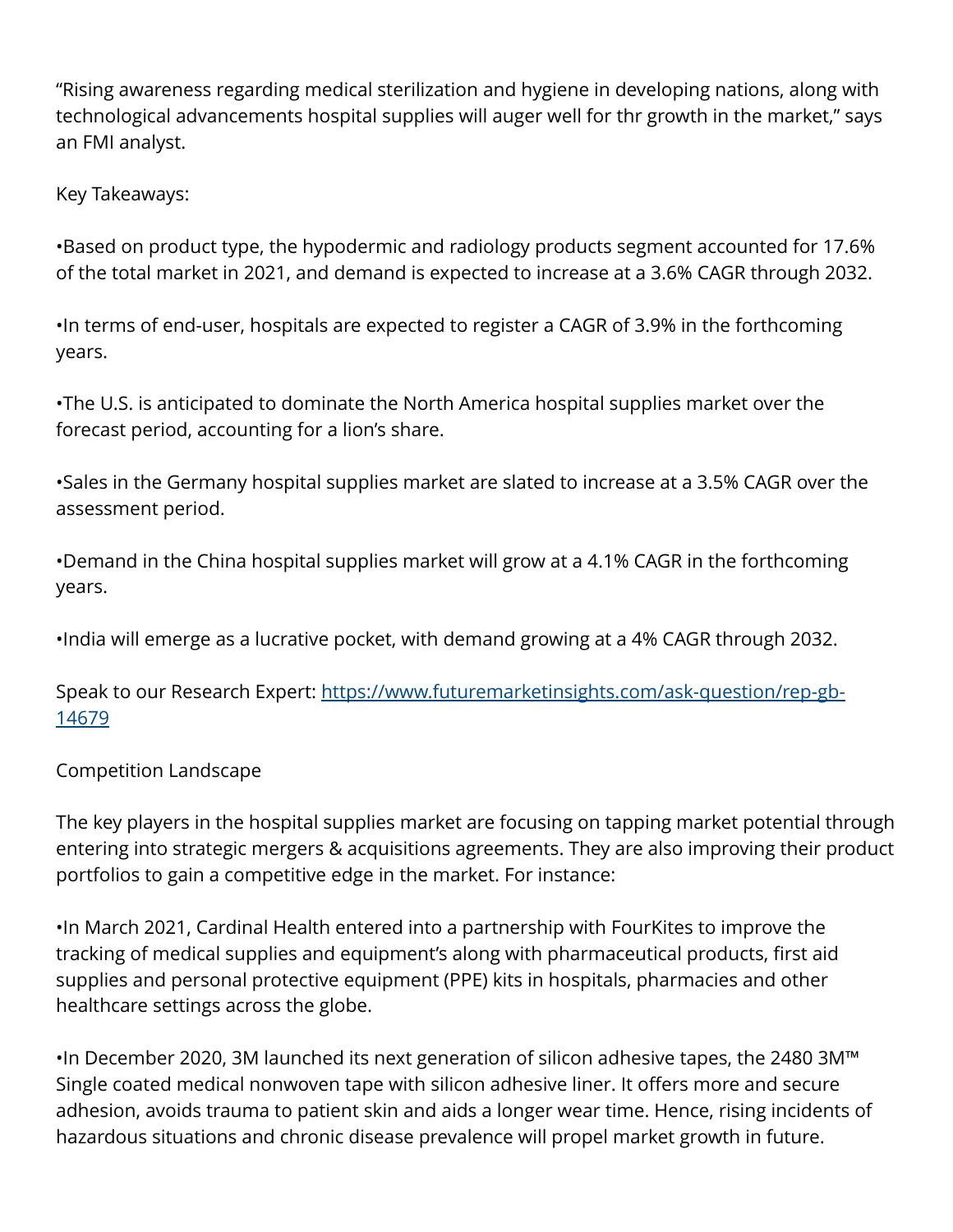"Rising awareness regarding medical sterilization and hygiene in developing nations, along with technological advancements hospital supplies will auger well for thr growth in the market," says an FMI analyst.

Key Takeaways:

•Based on product type, the hypodermic and radiology products segment accounted for 17.6% of the total market in 2021, and demand is expected to increase at a 3.6% CAGR through 2032.

•In terms of end-user, hospitals are expected to register a CAGR of 3.9% in the forthcoming years.

•The U.S. is anticipated to dominate the North America hospital supplies market over the forecast period, accounting for a lion's share.

•Sales in the Germany hospital supplies market are slated to increase at a 3.5% CAGR over the assessment period.

•Demand in the China hospital supplies market will grow at a 4.1% CAGR in the forthcoming years.

•India will emerge as a lucrative pocket, with demand growing at a 4% CAGR through 2032.

Speak to our Research Expert: [https://www.futuremarketinsights.com/ask-question/rep-gb-](https://www.futuremarketinsights.com/ask-question/rep-gb-14679)[14679](https://www.futuremarketinsights.com/ask-question/rep-gb-14679)

Competition Landscape

The key players in the hospital supplies market are focusing on tapping market potential through entering into strategic mergers & acquisitions agreements. They are also improving their product portfolios to gain a competitive edge in the market. For instance:

•In March 2021, Cardinal Health entered into a partnership with FourKites to improve the tracking of medical supplies and equipment's along with pharmaceutical products, first aid supplies and personal protective equipment (PPE) kits in hospitals, pharmacies and other healthcare settings across the globe.

•In December 2020, 3M launched its next generation of silicon adhesive tapes, the 2480 3M™ Single coated medical nonwoven tape with silicon adhesive liner. It offers more and secure adhesion, avoids trauma to patient skin and aids a longer wear time. Hence, rising incidents of hazardous situations and chronic disease prevalence will propel market growth in future.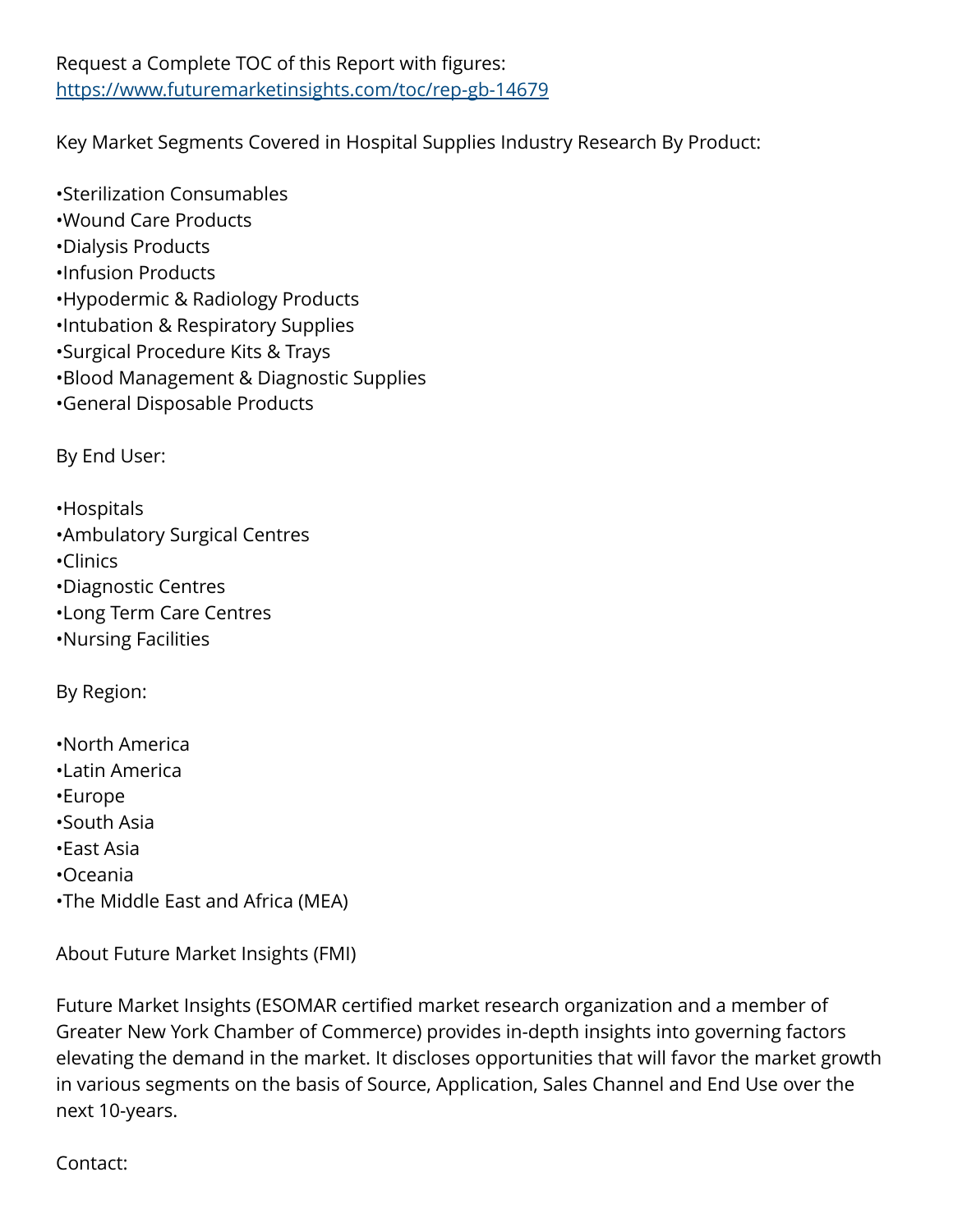## Request a Complete TOC of this Report with figures: <https://www.futuremarketinsights.com/toc/rep-gb-14679>

Key Market Segments Covered in Hospital Supplies Industry Research By Product:

•Sterilization Consumables •Wound Care Products •Dialysis Products •Infusion Products •Hypodermic & Radiology Products •Intubation & Respiratory Supplies •Surgical Procedure Kits & Trays •Blood Management & Diagnostic Supplies •General Disposable Products

By End User:

•Hospitals •Ambulatory Surgical Centres •Clinics •Diagnostic Centres •Long Term Care Centres

•Nursing Facilities

By Region:

•North America •Latin America •Europe •South Asia •East Asia •Oceania •The Middle East and Africa (MEA)

About Future Market Insights (FMI)

Future Market Insights (ESOMAR certified market research organization and a member of Greater New York Chamber of Commerce) provides in-depth insights into governing factors elevating the demand in the market. It discloses opportunities that will favor the market growth in various segments on the basis of Source, Application, Sales Channel and End Use over the next 10-years.

Contact: